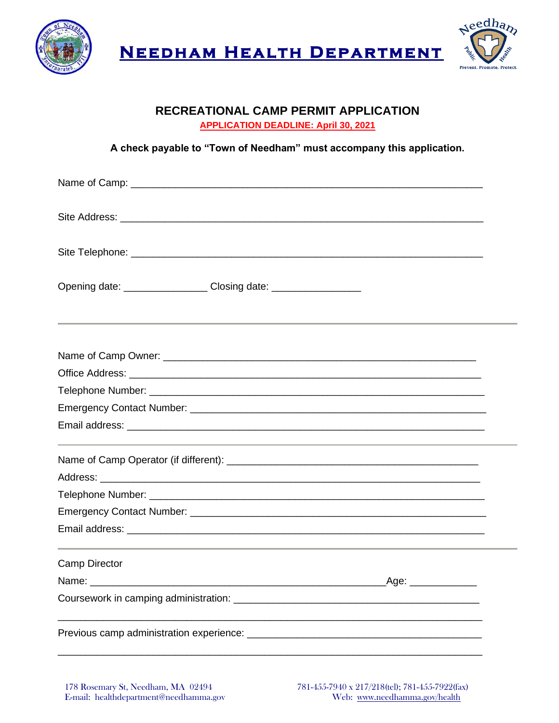

**NEEDHAM HEALTH DEPARTMENT** 



## **RECREATIONAL CAMP PERMIT APPLICATION APPLICATION DEADLINE: April 30, 2021**

## **A check payable to "Town of Needham" must accompany this application.**

| Opening date: _______________________Closing date: _____________________________<br>,我们也不能在这里,我们也不能会在这里,我们也不能会在这里,我们也不能会在这里,我们也不能会在这里,我们也不能会在这里,我们也不能会不能会。""我们,我们也不能 |      |  |  |  |  |  |
|----------------------------------------------------------------------------------------------------------------------------------------------------------------------|------|--|--|--|--|--|
|                                                                                                                                                                      |      |  |  |  |  |  |
|                                                                                                                                                                      |      |  |  |  |  |  |
|                                                                                                                                                                      |      |  |  |  |  |  |
|                                                                                                                                                                      |      |  |  |  |  |  |
|                                                                                                                                                                      |      |  |  |  |  |  |
|                                                                                                                                                                      |      |  |  |  |  |  |
|                                                                                                                                                                      |      |  |  |  |  |  |
|                                                                                                                                                                      |      |  |  |  |  |  |
|                                                                                                                                                                      |      |  |  |  |  |  |
|                                                                                                                                                                      |      |  |  |  |  |  |
| <b>Camp Director</b>                                                                                                                                                 |      |  |  |  |  |  |
| Name:                                                                                                                                                                | Age: |  |  |  |  |  |
|                                                                                                                                                                      |      |  |  |  |  |  |
|                                                                                                                                                                      |      |  |  |  |  |  |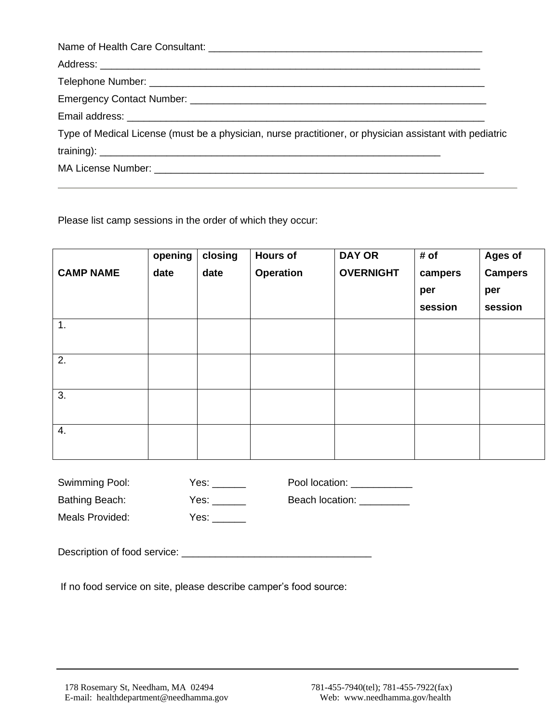| Type of Medical License (must be a physician, nurse practitioner, or physician assistant with pediatric |  |
|---------------------------------------------------------------------------------------------------------|--|
|                                                                                                         |  |
|                                                                                                         |  |

Please list camp sessions in the order of which they occur:

|                  | opening | closing | <b>Hours of</b>  | <b>DAY OR</b>    | # of    | <b>Ages of</b> |
|------------------|---------|---------|------------------|------------------|---------|----------------|
| <b>CAMP NAME</b> | date    | date    | <b>Operation</b> | <b>OVERNIGHT</b> | campers | <b>Campers</b> |
|                  |         |         |                  |                  | per     | per            |
|                  |         |         |                  |                  | session | session        |
| 1.               |         |         |                  |                  |         |                |
|                  |         |         |                  |                  |         |                |
| 2.               |         |         |                  |                  |         |                |
|                  |         |         |                  |                  |         |                |
| 3.               |         |         |                  |                  |         |                |
|                  |         |         |                  |                  |         |                |
| 4.               |         |         |                  |                  |         |                |
|                  |         |         |                  |                  |         |                |

| <b>Swimming Pool:</b> | Yes: | Pool location: |
|-----------------------|------|----------------|
|                       |      |                |

Meals Provided: The Yes:

Bathing Beach: Yes: \_\_\_\_\_\_ Beach location: \_\_\_\_\_\_\_\_

Description of food service: \_\_\_\_\_\_\_\_\_\_\_\_\_\_\_\_\_\_\_\_\_\_\_\_\_\_\_\_\_\_\_\_\_\_

If no food service on site, please describe camper's food source: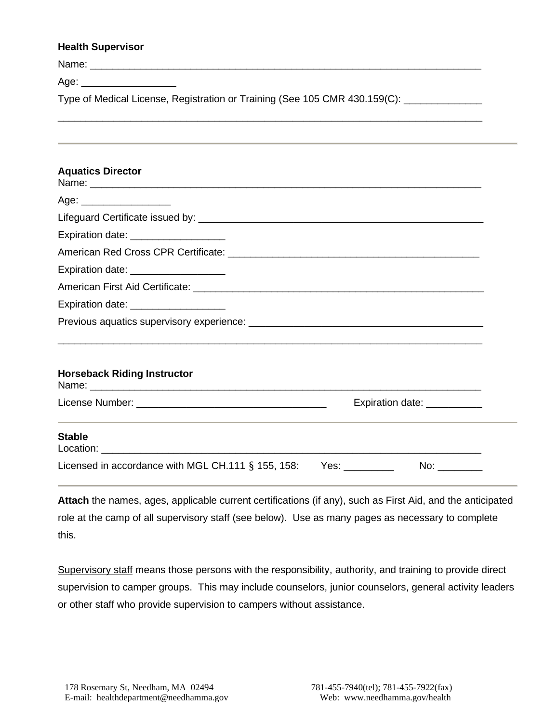| <b>Health Supervisor</b>                                                                |                              |  |  |  |
|-----------------------------------------------------------------------------------------|------------------------------|--|--|--|
|                                                                                         |                              |  |  |  |
| Age: _________________________                                                          |                              |  |  |  |
| Type of Medical License, Registration or Training (See 105 CMR 430.159(C): ____________ |                              |  |  |  |
|                                                                                         |                              |  |  |  |
| <b>Aquatics Director</b>                                                                |                              |  |  |  |
|                                                                                         |                              |  |  |  |
| Age: __________________                                                                 |                              |  |  |  |
|                                                                                         |                              |  |  |  |
| Expiration date: __________________                                                     |                              |  |  |  |
|                                                                                         |                              |  |  |  |
| Expiration date: ____________________                                                   |                              |  |  |  |
|                                                                                         |                              |  |  |  |
| Expiration date: __________________                                                     |                              |  |  |  |
|                                                                                         |                              |  |  |  |
|                                                                                         |                              |  |  |  |
| <b>Horseback Riding Instructor</b>                                                      |                              |  |  |  |
|                                                                                         | Expiration date: ___________ |  |  |  |
| <b>Stable</b>                                                                           |                              |  |  |  |
| Licensed in accordance with MGL CH.111 § 155, 158:                                      | No: $\_\_$                   |  |  |  |

**Attach** the names, ages, applicable current certifications (if any), such as First Aid, and the anticipated role at the camp of all supervisory staff (see below). Use as many pages as necessary to complete this.

Supervisory staff means those persons with the responsibility, authority, and training to provide direct supervision to camper groups. This may include counselors, junior counselors, general activity leaders or other staff who provide supervision to campers without assistance.